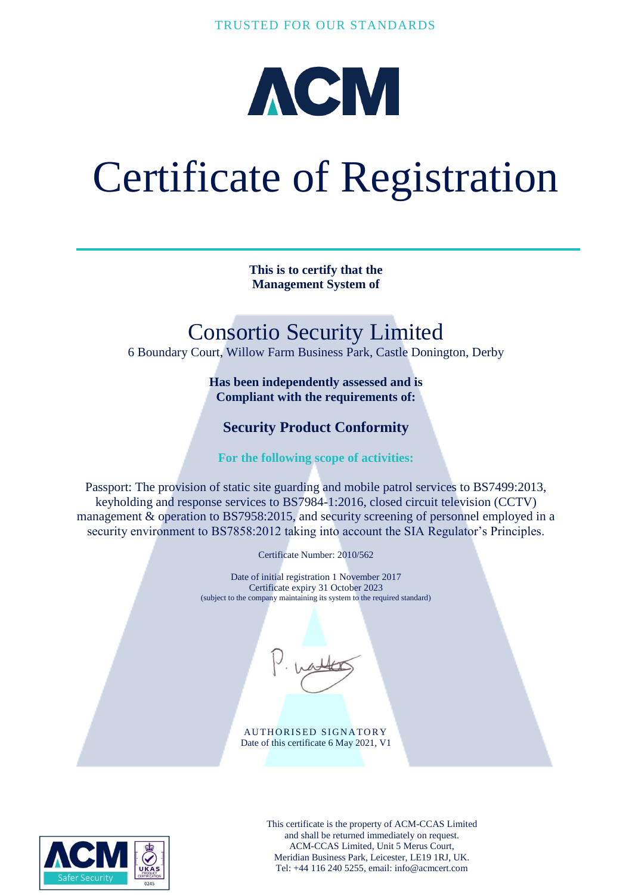

# Certificate of Registration

**This is to certify that the Management System of**

## Consortio Security Limited

6 Boundary Court, Willow Farm Business Park, Castle Donington, Derby

**Has been independently assessed and is Compliant with the requirements of:**

### **Security Product Conformity**

**For the following scope of activities:**

Passport: The provision of static site guarding and mobile patrol services to BS7499:2013, keyholding and response services to BS7984-1:2016, closed circuit television (CCTV) management & operation to BS7958:2015, and security screening of personnel employed in a security environment to BS7858:2012 taking into account the SIA Regulator's Principles.

Certificate Number: 2010/562

Date of initial registration 1 November 2017 Certificate expiry 31 October 2023 (subject to the company maintaining its system to the required standard)

AUTHORISED SIGNATORY Date of this certificate 6 May 2021, V1



This certificate is the property of ACM-CCAS Limited and shall be returned immediately on request. ACM-CCAS Limited, Unit 5 Merus Court, Meridian Business Park, Leicester, LE19 1RJ, UK. Tel: +44 116 240 5255, email: info@acmcert.com